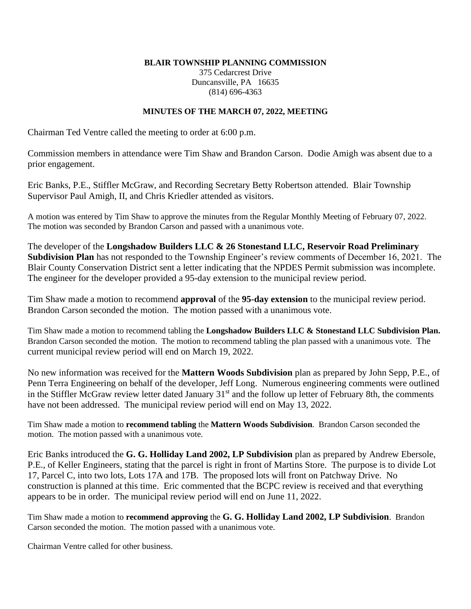## **BLAIR TOWNSHIP PLANNING COMMISSION**

375 Cedarcrest Drive Duncansville, PA 16635 (814) 696-4363

## **MINUTES OF THE MARCH 07, 2022, MEETING**

Chairman Ted Ventre called the meeting to order at 6:00 p.m.

Commission members in attendance were Tim Shaw and Brandon Carson. Dodie Amigh was absent due to a prior engagement.

Eric Banks, P.E., Stiffler McGraw, and Recording Secretary Betty Robertson attended. Blair Township Supervisor Paul Amigh, II, and Chris Kriedler attended as visitors.

A motion was entered by Tim Shaw to approve the minutes from the Regular Monthly Meeting of February 07, 2022. The motion was seconded by Brandon Carson and passed with a unanimous vote.

The developer of the **Longshadow Builders LLC & 26 Stonestand LLC, Reservoir Road Preliminary Subdivision Plan** has not responded to the Township Engineer's review comments of December 16, 2021. The Blair County Conservation District sent a letter indicating that the NPDES Permit submission was incomplete. The engineer for the developer provided a 95-day extension to the municipal review period.

Tim Shaw made a motion to recommend **approval** of the **95-day extension** to the municipal review period. Brandon Carson seconded the motion. The motion passed with a unanimous vote.

Tim Shaw made a motion to recommend tabling the **Longshadow Builders LLC & Stonestand LLC Subdivision Plan.**  Brandon Carson seconded the motion. The motion to recommend tabling the plan passed with a unanimous vote. The current municipal review period will end on March 19, 2022.

No new information was received for the **Mattern Woods Subdivision** plan as prepared by John Sepp, P.E., of Penn Terra Engineering on behalf of the developer, Jeff Long. Numerous engineering comments were outlined in the Stiffler McGraw review letter dated January  $31<sup>st</sup>$  and the follow up letter of February 8th, the comments have not been addressed. The municipal review period will end on May 13, 2022.

Tim Shaw made a motion to **recommend tabling** the **Mattern Woods Subdivision**. Brandon Carson seconded the motion. The motion passed with a unanimous vote.

Eric Banks introduced the **G. G. Holliday Land 2002, LP Subdivision** plan as prepared by Andrew Ebersole, P.E., of Keller Engineers, stating that the parcel is right in front of Martins Store. The purpose is to divide Lot 17, Parcel C, into two lots, Lots 17A and 17B. The proposed lots will front on Patchway Drive. No construction is planned at this time. Eric commented that the BCPC review is received and that everything appears to be in order. The municipal review period will end on June 11, 2022.

Tim Shaw made a motion to **recommend approving** the **G. G. Holliday Land 2002, LP Subdivision**. Brandon Carson seconded the motion. The motion passed with a unanimous vote.

Chairman Ventre called for other business.